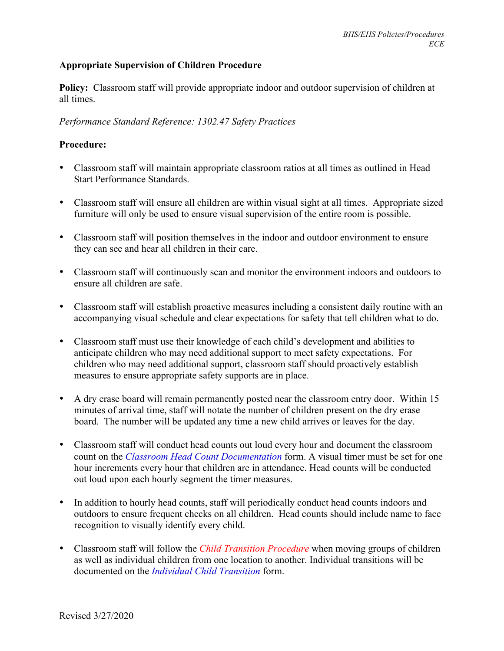## **Appropriate Supervision of Children Procedure**

**Policy:** Classroom staff will provide appropriate indoor and outdoor supervision of children at all times.

## *Performance Standard Reference: 1302.47 Safety Practices*

## **Procedure:**

- Classroom staff will maintain appropriate classroom ratios at all times as outlined in Head Start Performance Standards.
- Classroom staff will ensure all children are within visual sight at all times. Appropriate sized furniture will only be used to ensure visual supervision of the entire room is possible.
- Classroom staff will position themselves in the indoor and outdoor environment to ensure they can see and hear all children in their care.
- Classroom staff will continuously scan and monitor the environment indoors and outdoors to ensure all children are safe.
- Classroom staff will establish proactive measures including a consistent daily routine with an accompanying visual schedule and clear expectations for safety that tell children what to do.
- Classroom staff must use their knowledge of each child's development and abilities to anticipate children who may need additional support to meet safety expectations. For children who may need additional support, classroom staff should proactively establish measures to ensure appropriate safety supports are in place.
- A dry erase board will remain permanently posted near the classroom entry door. Within 15 minutes of arrival time, staff will notate the number of children present on the dry erase board. The number will be updated any time a new child arrives or leaves for the day.
- Classroom staff will conduct head counts out loud every hour and document the classroom count on the *Classroom Head Count Documentation* form. A visual timer must be set for one hour increments every hour that children are in attendance. Head counts will be conducted out loud upon each hourly segment the timer measures.
- In addition to hourly head counts, staff will periodically conduct head counts indoors and outdoors to ensure frequent checks on all children. Head counts should include name to face recognition to visually identify every child.
- Classroom staff will follow the *Child Transition Procedure* when moving groups of children as well as individual children from one location to another. Individual transitions will be documented on the *Individual Child Transition* form.